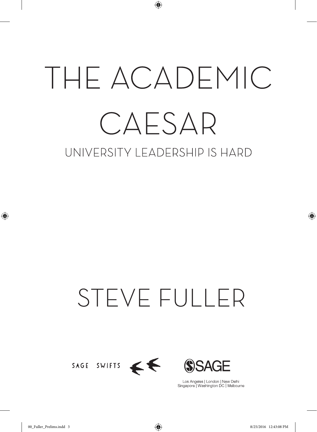# THE ACADEMIC CAESAR UNIVERSITY I FADERSHIP IS HARD

 $\bigoplus$ 

## STEVE FULLER





Los Angeles | London | New Delhi<br>Singapore | Washington DC | Melbourne

⊕

◈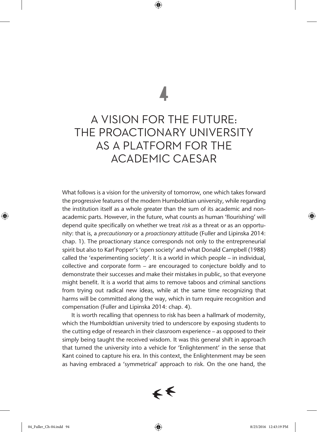A VISION FOR THE FUTURE: THE PROACTIONARY UNIVERSITY AS A PLATFORM FOR THE ACADEMIC CAESAR

4

⊕

What follows is a vision for the university of tomorrow, one which takes forward the progressive features of the modern Humboldtian university, while regarding the institution itself as a whole greater than the sum of its academic and nonacademic parts. However, in the future, what counts as human 'flourishing' will depend quite specifically on whether we treat *risk* as a threat or as an opportunity: that is, a *precautionary* or a *proactionary* attitude (Fuller and Lipinska 2014: chap. 1). The proactionary stance corresponds not only to the entrepreneurial spirit but also to Karl Popper's 'open society' and what Donald Campbell (1988) called the 'experimenting society'. It is a world in which people – in individual, collective and corporate form – are encouraged to conjecture boldly and to demonstrate their successes and make their mistakes in public, so that everyone might benefit. It is a world that aims to remove taboos and criminal sanctions from trying out radical new ideas, while at the same time recognizing that harms will be committed along the way, which in turn require recognition and compensation (Fuller and Lipinska 2014: chap. 4).

It is worth recalling that openness to risk has been a hallmark of modernity, which the Humboldtian university tried to underscore by exposing students to the cutting edge of research in their classroom experience – as opposed to their simply being taught the received wisdom. It was this general shift in approach that turned the university into a vehicle for 'Enlightenment' in the sense that Kant coined to capture his era. In this context, the Enlightenment may be seen as having embraced a 'symmetrical' approach to risk. On the one hand, the



⊕

♠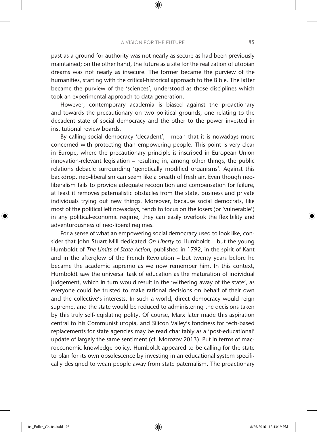## A VISION FOR THE FUTURE 95

⊕

past as a ground for authority was not nearly as secure as had been previously maintained; on the other hand, the future as a site for the realization of utopian dreams was not nearly as insecure. The former became the purview of the humanities, starting with the critical-historical approach to the Bible. The latter became the purview of the 'sciences', understood as those disciplines which took an experimental approach to data generation.

However, contemporary academia is biased against the proactionary and towards the precautionary on two political grounds, one relating to the decadent state of social democracy and the other to the power invested in institutional review boards.

By calling social democracy 'decadent', I mean that it is nowadays more concerned with protecting than empowering people. This point is very clear in Europe, where the precautionary principle is inscribed in European Union innovation-relevant legislation – resulting in, among other things, the public relations debacle surrounding 'genetically modified organisms'. Against this backdrop, neo-liberalism can seem like a breath of fresh air. Even though neoliberalism fails to provide adequate recognition and compensation for failure, at least it removes paternalistic obstacles from the state, business and private individuals trying out new things. Moreover, because social democrats, like most of the political left nowadays, tends to focus on the losers (or 'vulnerable') in any political-economic regime, they can easily overlook the flexibility and adventurousness of neo-liberal regimes.

For a sense of what an empowering social democracy used to look like, consider that John Stuart Mill dedicated *On Liberty* to Humboldt – but the young Humboldt of *The Limits of State Action*, published in 1792, in the spirit of Kant and in the afterglow of the French Revolution – but twenty years before he became the academic supremo as we now remember him. In this context, Humboldt saw the universal task of education as the maturation of individual judgement, which in turn would result in the 'withering away of the state', as everyone could be trusted to make rational decisions on behalf of their own and the collective's interests. In such a world, direct democracy would reign supreme, and the state would be reduced to administering the decisions taken by this truly self-legislating polity. Of course, Marx later made this aspiration central to his Communist utopia, and Silicon Valley's fondness for tech-based replacements for state agencies may be read charitably as a 'post-educational' update of largely the same sentiment (cf. Morozov 2013). Put in terms of macroeconomic knowledge policy, Humboldt appeared to be calling for the state to plan for its own obsolescence by investing in an educational system specifically designed to wean people away from state paternalism. The proactionary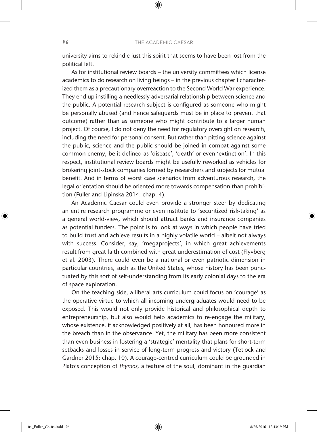## 96 The Academic Caesar

⊕

university aims to rekindle just this spirit that seems to have been lost from the political left.

As for institutional review boards – the university committees which license academics to do research on living beings – in the previous chapter I characterized them as a precautionary overreaction to the Second World War experience. They end up instilling a needlessly adversarial relationship between science and the public. A potential research subject is configured as someone who might be personally abused (and hence safeguards must be in place to prevent that outcome) rather than as someone who might contribute to a larger human project. Of course, I do not deny the need for regulatory oversight on research, including the need for personal consent. But rather than pitting science against the public, science and the public should be joined in combat against some common enemy, be it defined as 'disease', 'death' or even 'extinction'. In this respect, institutional review boards might be usefully reworked as vehicles for brokering joint-stock companies formed by researchers and subjects for mutual benefit. And in terms of worst case scenarios from adventurous research, the legal orientation should be oriented more towards compensation than prohibition (Fuller and Lipinska 2014: chap. 4).

An Academic Caesar could even provide a stronger steer by dedicating an entire research programme or even institute to 'securitized risk-taking' as a general world-view, which should attract banks and insurance companies as potential funders. The point is to look at ways in which people have tried to build trust and achieve results in a highly volatile world – albeit not always with success. Consider, say, 'megaprojects', in which great achievements result from great faith combined with great underestimation of cost (Flyvberg et al. 2003). There could even be a national or even patriotic dimension in particular countries, such as the United States, whose history has been punctuated by this sort of self-understanding from its early colonial days to the era of space exploration.

On the teaching side, a liberal arts curriculum could focus on 'courage' as the operative virtue to which all incoming undergraduates would need to be exposed. This would not only provide historical and philosophical depth to entrepreneurship, but also would help academics to re-engage the military, whose existence, if acknowledged positively at all, has been honoured more in the breach than in the observance. Yet, the military has been more consistent than even business in fostering a 'strategic' mentality that plans for short-term setbacks and losses in service of long-term progress and victory (Tetlock and Gardner 2015: chap. 10). A courage-centred curriculum could be grounded in Plato's conception of *thymos*, a feature of the soul, dominant in the guardian

⊕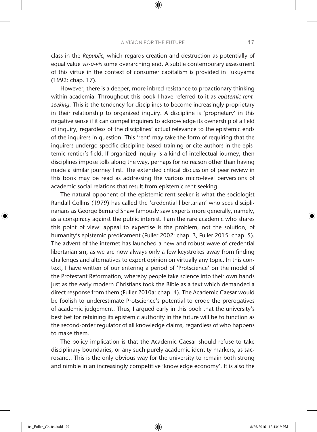## A VISION FOR THE FUTURE 97

⊕

class in the *Republic*, which regards creation and destruction as potentially of equal value *vis-à-vis* some overarching end. A subtle contemporary assessment of this virtue in the context of consumer capitalism is provided in Fukuyama (1992: chap. 17).

However, there is a deeper, more inbred resistance to proactionary thinking within academia. Throughout this book I have referred to it as *epistemic rentseeking*. This is the tendency for disciplines to become increasingly proprietary in their relationship to organized inquiry. A discipline is 'proprietary' in this negative sense if it can compel inquirers to acknowledge its ownership of a field of inquiry, regardless of the disciplines' actual relevance to the epistemic ends of the inquirers in question. This 'rent' may take the form of requiring that the inquirers undergo specific discipline-based training or cite authors in the epistemic rentier's field. If organized inquiry is a kind of intellectual journey, then disciplines impose tolls along the way, perhaps for no reason other than having made a similar journey first. The extended critical discussion of peer review in this book may be read as addressing the various micro-level perversions of academic social relations that result from epistemic rent-seeking.

The natural opponent of the epistemic rent-seeker is what the sociologist Randall Collins (1979) has called the 'credential libertarian' who sees disciplinarians as George Bernard Shaw famously saw experts more generally, namely, as a conspiracy against the public interest. I am the rare academic who shares this point of view: appeal to expertise is the problem, not the solution, of humanity's epistemic predicament (Fuller 2002: chap. 3, Fuller 2015: chap. 5). The advent of the internet has launched a new and robust wave of credential libertarianism, as we are now always only a few keystrokes away from finding challenges and alternatives to expert opinion on virtually any topic. In this context, I have written of our entering a period of 'Protscience' on the model of the Protestant Reformation, whereby people take science into their own hands just as the early modern Christians took the Bible as a text which demanded a direct response from them (Fuller 2010a: chap. 4). The Academic Caesar would be foolish to underestimate Protscience's potential to erode the prerogatives of academic judgement. Thus, I argued early in this book that the university's best bet for retaining its epistemic authority in the future will be to function as the second-order regulator of all knowledge claims, regardless of who happens to make them.

The policy implication is that the Academic Caesar should refuse to take disciplinary boundaries, or any such purely academic identity markers, as sacrosanct. This is the only obvious way for the university to remain both strong and nimble in an increasingly competitive 'knowledge economy'. It is also the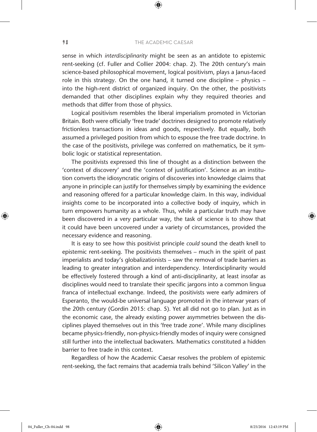## **98** THE ACADEMIC CAESAR

⊕

sense in which *interdisciplinarity* might be seen as an antidote to epistemic rent-seeking (cf. Fuller and Collier 2004: chap. 2). The 20th century's main science-based philosophical movement, logical positivism, plays a Janus-faced role in this strategy. On the one hand, it turned one discipline – physics – into the high-rent district of organized inquiry. On the other, the positivists demanded that other disciplines explain why they required theories and methods that differ from those of physics.

Logical positivism resembles the liberal imperialism promoted in Victorian Britain. Both were officially 'free trade' doctrines designed to promote relatively frictionless transactions in ideas and goods, respectively. But equally, both assumed a privileged position from which to espouse the free trade doctrine. In the case of the positivists, privilege was conferred on mathematics, be it symbolic logic or statistical representation.

The positivists expressed this line of thought as a distinction between the 'context of discovery' and the 'context of justification'. Science as an institution converts the idiosyncratic origins of discoveries into knowledge claims that anyone in principle can justify for themselves simply by examining the evidence and reasoning offered for a particular knowledge claim. In this way, individual insights come to be incorporated into a collective body of inquiry, which in turn empowers humanity as a whole. Thus, while a particular truth may have been discovered in a very particular way, the task of science is to show that it could have been uncovered under a variety of circumstances, provided the necessary evidence and reasoning.

It is easy to see how this positivist principle *could* sound the death knell to epistemic rent-seeking. The positivists themselves – much in the spirit of past imperialists and today's globalizationists – saw the removal of trade barriers as leading to greater integration and interdependency. Interdisciplinarity would be effectively fostered through a kind of anti-disciplinarity, at least insofar as disciplines would need to translate their specific jargons into a common lingua franca of intellectual exchange. Indeed, the positivists were early admirers of Esperanto, the would-be universal language promoted in the interwar years of the 20th century (Gordin 2015: chap. 5). Yet all did not go to plan. Just as in the economic case, the already existing power asymmetries between the disciplines played themselves out in this 'free trade zone'. While many disciplines became physics-friendly, non-physics-friendly modes of inquiry were consigned still further into the intellectual backwaters. Mathematics constituted a hidden barrier to free trade in this context.

Regardless of how the Academic Caesar resolves the problem of epistemic rent-seeking, the fact remains that academia trails behind 'Silicon Valley' in the

⊕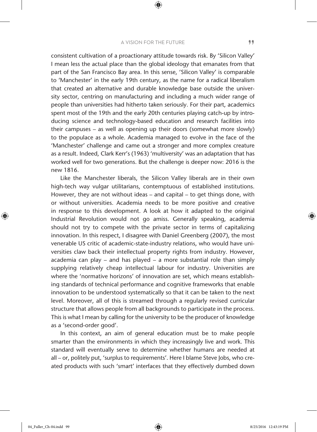## A VISION FOR THE FUTURE 99

⊕

consistent cultivation of a proactionary attitude towards risk. By 'Silicon Valley' I mean less the actual place than the global ideology that emanates from that part of the San Francisco Bay area. In this sense, 'Silicon Valley' is comparable to 'Manchester' in the early 19th century, as the name for a radical liberalism that created an alternative and durable knowledge base outside the university sector, centring on manufacturing and including a much wider range of people than universities had hitherto taken seriously. For their part, academics spent most of the 19th and the early 20th centuries playing catch-up by introducing science and technology-based education and research facilities into their campuses – as well as opening up their doors (somewhat more slowly) to the populace as a whole. Academia managed to evolve in the face of the 'Manchester' challenge and came out a stronger and more complex creature as a result. Indeed, Clark Kerr's (1963) 'multiversity' was an adaptation that has worked well for two generations. But the challenge is deeper now: 2016 is the new 1816.

Like the Manchester liberals, the Silicon Valley liberals are in their own high-tech way vulgar utilitarians, contemptuous of established institutions. However, they are not without ideas – and capital – to get things done, with or without universities. Academia needs to be more positive and creative in response to this development. A look at how it adapted to the original Industrial Revolution would not go amiss. Generally speaking, academia should not try to compete with the private sector in terms of capitalizing innovation. In this respect, I disagree with Daniel Greenberg (2007), the most venerable US critic of academic-state-industry relations, who would have universities claw back their intellectual property rights from industry. However, academia can play – and has played – a more substantial role than simply supplying relatively cheap intellectual labour for industry. Universities are where the 'normative horizons' of innovation are set, which means establishing standards of technical performance and cognitive frameworks that enable innovation to be understood systematically so that it can be taken to the next level. Moreover, all of this is streamed through a regularly revised curricular structure that allows people from all backgrounds to participate in the process. This is what I mean by calling for the university to be the producer of knowledge as a 'second-order good'.

In this context, an aim of general education must be to make people smarter than the environments in which they increasingly live and work. This standard will eventually serve to determine whether humans are needed at all – or, politely put, 'surplus to requirements'. Here I blame Steve Jobs, who created products with such 'smart' interfaces that they effectively dumbed down

⊕